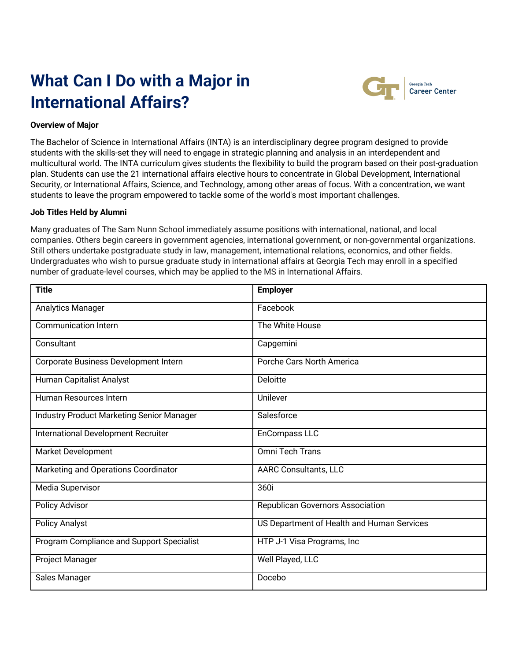# **What Can I Do with a Major in International Affairs?**



# **Overview of Major**

The Bachelor of Science in International Affairs (INTA) is an interdisciplinary degree program designed to provide students with the skills-set they will need to engage in strategic planning and analysis in an interdependent and multicultural world. The INTA curriculum gives students the flexibility to build the program based on their post-graduation plan. Students can use the 21 international affairs elective hours to concentrate in Global Development, International Security, or International Affairs, Science, and Technology, among other areas of focus. With a concentration, we want students to leave the program empowered to tackle some of the world's most important challenges.

## **Job Titles Held by Alumni**

Many graduates of The Sam Nunn School immediately assume positions with international, national, and local companies. Others begin careers in government agencies, international government, or non-governmental organizations. Still others undertake postgraduate study in law, management, international relations, economics, and other fields. Undergraduates who wish to pursue graduate study in international affairs at Georgia Tech may enroll in a specified number of graduate-level courses, which may be applied to the MS in International Affairs.

| <b>Title</b>                                     | <b>Employer</b>                            |
|--------------------------------------------------|--------------------------------------------|
| <b>Analytics Manager</b>                         | Facebook                                   |
| <b>Communication Intern</b>                      | The White House                            |
| Consultant                                       | Capgemini                                  |
| Corporate Business Development Intern            | Porche Cars North America                  |
| Human Capitalist Analyst                         | Deloitte                                   |
| Human Resources Intern                           | Unilever                                   |
| <b>Industry Product Marketing Senior Manager</b> | Salesforce                                 |
| <b>International Development Recruiter</b>       | EnCompass LLC                              |
| Market Development                               | <b>Omni Tech Trans</b>                     |
| Marketing and Operations Coordinator             | <b>AARC Consultants, LLC</b>               |
| Media Supervisor                                 | 360i                                       |
| Policy Advisor                                   | Republican Governors Association           |
| <b>Policy Analyst</b>                            | US Department of Health and Human Services |
| Program Compliance and Support Specialist        | HTP J-1 Visa Programs, Inc                 |
| Project Manager                                  | Well Played, LLC                           |
| Sales Manager                                    | Docebo                                     |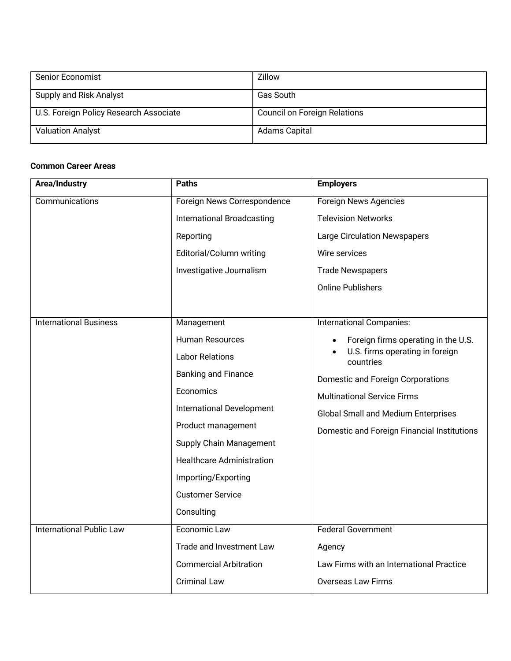| <b>Senior Economist</b>                | Zillow                       |
|----------------------------------------|------------------------------|
| Supply and Risk Analyst                | Gas South                    |
| U.S. Foreign Policy Research Associate | Council on Foreign Relations |
| <b>Valuation Analyst</b>               | <b>Adams Capital</b>         |

# **Common Career Areas**

| Area/Industry                   | <b>Paths</b>                      | <b>Employers</b>                             |
|---------------------------------|-----------------------------------|----------------------------------------------|
| Communications                  | Foreign News Correspondence       | Foreign News Agencies                        |
|                                 | <b>International Broadcasting</b> | <b>Television Networks</b>                   |
|                                 | Reporting                         | <b>Large Circulation Newspapers</b>          |
|                                 | Editorial/Column writing          | Wire services                                |
|                                 | Investigative Journalism          | <b>Trade Newspapers</b>                      |
|                                 |                                   | <b>Online Publishers</b>                     |
|                                 |                                   |                                              |
| <b>International Business</b>   | Management                        | <b>International Companies:</b>              |
|                                 | <b>Human Resources</b>            | Foreign firms operating in the U.S.          |
|                                 | <b>Labor Relations</b>            | U.S. firms operating in foreign<br>countries |
|                                 | <b>Banking and Finance</b>        | Domestic and Foreign Corporations            |
|                                 | Economics                         | <b>Multinational Service Firms</b>           |
|                                 | <b>International Development</b>  | <b>Global Small and Medium Enterprises</b>   |
|                                 | Product management                | Domestic and Foreign Financial Institutions  |
|                                 | <b>Supply Chain Management</b>    |                                              |
|                                 | <b>Healthcare Administration</b>  |                                              |
|                                 | Importing/Exporting               |                                              |
|                                 | <b>Customer Service</b>           |                                              |
|                                 | Consulting                        |                                              |
| <b>International Public Law</b> | Economic Law                      | <b>Federal Government</b>                    |
|                                 | Trade and Investment Law          | Agency                                       |
|                                 | <b>Commercial Arbitration</b>     | Law Firms with an International Practice     |
|                                 | <b>Criminal Law</b>               | <b>Overseas Law Firms</b>                    |
|                                 |                                   |                                              |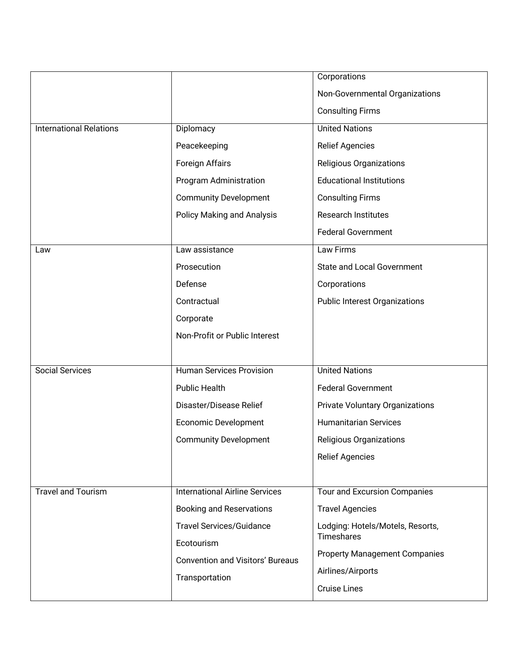|                                |                                                           | Corporations                                   |
|--------------------------------|-----------------------------------------------------------|------------------------------------------------|
|                                |                                                           | Non-Governmental Organizations                 |
|                                |                                                           | <b>Consulting Firms</b>                        |
| <b>International Relations</b> | Diplomacy                                                 | <b>United Nations</b>                          |
|                                | Peacekeeping                                              | <b>Relief Agencies</b>                         |
|                                | Foreign Affairs                                           | Religious Organizations                        |
|                                | Program Administration                                    | <b>Educational Institutions</b>                |
|                                | <b>Community Development</b>                              | <b>Consulting Firms</b>                        |
|                                | <b>Policy Making and Analysis</b>                         | <b>Research Institutes</b>                     |
|                                |                                                           | <b>Federal Government</b>                      |
| Law                            | Law assistance                                            | Law Firms                                      |
|                                | Prosecution                                               | <b>State and Local Government</b>              |
|                                | Defense                                                   | Corporations                                   |
|                                | Contractual                                               | <b>Public Interest Organizations</b>           |
|                                | Corporate                                                 |                                                |
|                                | Non-Profit or Public Interest                             |                                                |
|                                |                                                           |                                                |
| <b>Social Services</b>         | <b>Human Services Provision</b>                           | <b>United Nations</b>                          |
|                                | <b>Public Health</b>                                      | <b>Federal Government</b>                      |
|                                | Disaster/Disease Relief                                   | Private Voluntary Organizations                |
|                                | Economic Development                                      | <b>Humanitarian Services</b>                   |
|                                | <b>Community Development</b>                              | Religious Organizations                        |
|                                |                                                           | <b>Relief Agencies</b>                         |
|                                |                                                           |                                                |
| Travel and Tourism             | <b>International Airline Services</b>                     | Tour and Excursion Companies                   |
|                                | <b>Booking and Reservations</b>                           | <b>Travel Agencies</b>                         |
|                                | <b>Travel Services/Guidance</b>                           | Lodging: Hotels/Motels, Resorts,<br>Timeshares |
|                                | Ecotourism                                                | <b>Property Management Companies</b>           |
|                                | <b>Convention and Visitors' Bureaus</b><br>Transportation | Airlines/Airports                              |
|                                |                                                           | <b>Cruise Lines</b>                            |
|                                |                                                           |                                                |